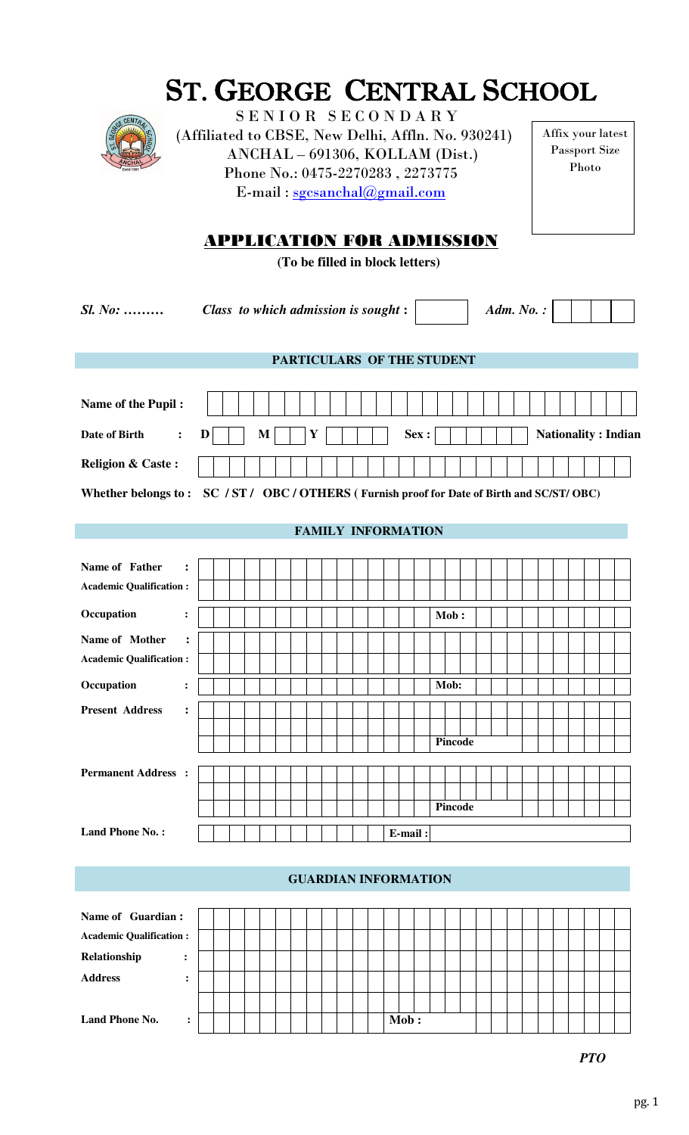|--|

# ST. GEORGE CENTRAL SCHOOL

SENIOR SECONDARY (Affiliated to CBSE, New Delhi, Affln. No. 930241) ANCHAL – 691306, KOLLAM (Dist.) Phone No.: 0475-2270283 , 2273775 E-mail : [sgcsanchal@gmail.com](mailto:sgcsanchal@gmail.com)

Affix your latest Passport Size Photo

## APPLICATION FOR ADMISSION

**(To be filled in block letters)** 

*Sl. No: ……… Class to which admission is sought* **:** *Adm. No. :* Date of Birth  $\cdot$  D  $\vert$  M  $\vert$  M  $\vert$  Y  $\vert$   $\vert$   $\vert$  Sex :  $\vert$   $\vert$   $\vert$   $\vert$  Nationality : Indian **PARTICULARS OF THE STUDENT Name of the Pupil : Religion & Caste : Whether belongs to : SC / ST / OBC / OTHERS ( Furnish proof for Date of Birth and SC/ST/ OBC) FAMILY INFORMATION Name of Father : Academic Qualification : Occupation : Mob : Name of Mother : Academic Qualification : Occupation : Mob: Present Address : Pincode Permanent Address : Pincode**  Land Phone No.: | | | | | | | | | | | | E-mail:

### **GUARDIAN INFORMATION**

| Name of Guardian:              |  |  |  |  |  |  |  |      |  |  |  |  |  |  |  |
|--------------------------------|--|--|--|--|--|--|--|------|--|--|--|--|--|--|--|
| <b>Academic Qualification:</b> |  |  |  |  |  |  |  |      |  |  |  |  |  |  |  |
| Relationship<br>$\ddot{\cdot}$ |  |  |  |  |  |  |  |      |  |  |  |  |  |  |  |
| <b>Address</b>                 |  |  |  |  |  |  |  |      |  |  |  |  |  |  |  |
|                                |  |  |  |  |  |  |  |      |  |  |  |  |  |  |  |
| <b>Land Phone No.</b>          |  |  |  |  |  |  |  | Mob: |  |  |  |  |  |  |  |